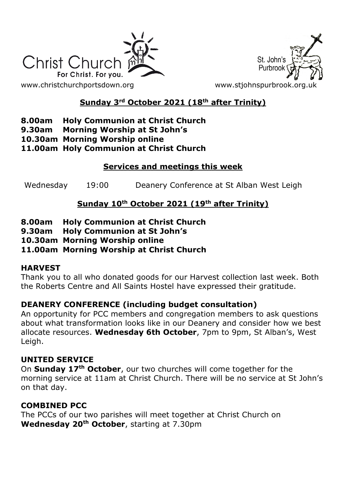



## **Sunday 3rd October 2021 (18th after Trinity)**

## **8.00am Holy Communion at Christ Church**

- **9.30am Morning Worship at St John's**
- **10.30am Morning Worship online**

### **11.00am Holy Communion at Christ Church**

## **Services and meetings this week**

Wednesday 19:00 Deanery Conference at St Alban West Leigh

## **Sunday 10th October 2021 (19th after Trinity)**

- **8.00am Holy Communion at Christ Church**
- **9.30am Holy Communion at St John's**
- **10.30am Morning Worship online**

# **11.00am Morning Worship at Christ Church**

### **HARVEST**

Thank you to all who donated goods for our Harvest collection last week. Both the Roberts Centre and All Saints Hostel have expressed their gratitude.

## **DEANERY CONFERENCE (including budget consultation)**

An opportunity for PCC members and congregation members to ask questions about what transformation looks like in our Deanery and consider how we best allocate resources. **Wednesday 6th October**, 7pm to 9pm, St Alban's, West Leigh.

### **UNITED SERVICE**

On **Sunday 17th October**, our two churches will come together for the morning service at 11am at Christ Church. There will be no service at St John's on that day.

## **COMBINED PCC**

The PCCs of our two parishes will meet together at Christ Church on **Wednesday 20th October**, starting at 7.30pm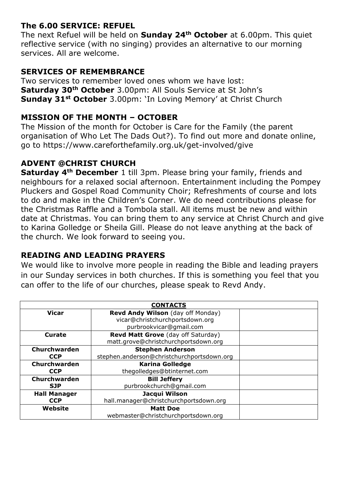## **The 6.00 SERVICE: REFUEL**

The next Refuel will be held on **Sunday 24th October** at 6.00pm. This quiet reflective service (with no singing) provides an alternative to our morning services. All are welcome.

## **SERVICES OF REMEMBRANCE**

Two services to remember loved ones whom we have lost: **Saturday 30th October** 3.00pm: All Souls Service at St John's **Sunday 31st October** 3.00pm: 'In Loving Memory' at Christ Church

## **MISSION OF THE MONTH – OCTOBER**

The Mission of the month for October is Care for the Family (the parent organisation of Who Let The Dads Out?). To find out more and donate online, go to https://www.careforthefamily.org.uk/get-involved/give

## **ADVENT @CHRIST CHURCH**

**Saturday 4th December** 1 till 3pm. Please bring your family, friends and neighbours for a relaxed social afternoon. Entertainment including the Pompey Pluckers and Gospel Road Community Choir; Refreshments of course and lots to do and make in the Children's Corner. We do need contributions please for the Christmas Raffle and a Tombola stall. All items must be new and within date at Christmas. You can bring them to any service at Christ Church and give to Karina Golledge or Sheila Gill. Please do not leave anything at the back of the church. We look forward to seeing you.

## **READING AND LEADING PRAYERS**

We would like to involve more people in reading the Bible and leading prayers in our Sunday services in both churches. If this is something you feel that you can offer to the life of our churches, please speak to Revd Andy.

| <b>CONTACTS</b>     |                                            |  |
|---------------------|--------------------------------------------|--|
| <b>Vicar</b>        | Revd Andy Wilson (day off Monday)          |  |
|                     | vicar@christchurchportsdown.org            |  |
|                     | purbrookvicar@gmail.com                    |  |
| Curate              | Revd Matt Grove (day off Saturday)         |  |
|                     | matt.grove@christchurchportsdown.org       |  |
| Churchwarden        | <b>Stephen Anderson</b>                    |  |
| <b>CCP</b>          | stephen.anderson@christchurchportsdown.org |  |
| Churchwarden        | <b>Karina Golledge</b>                     |  |
| <b>CCP</b>          | thegolledges@btinternet.com                |  |
| <b>Churchwarden</b> | <b>Bill Jeffery</b>                        |  |
| <b>SJP</b>          | purbrookchurch@gmail.com                   |  |
| <b>Hall Manager</b> | Jacqui Wilson                              |  |
| <b>CCP</b>          | hall.manager@christchurchportsdown.org     |  |
| Website             | <b>Matt Doe</b>                            |  |
|                     | webmaster@christchurchportsdown.org        |  |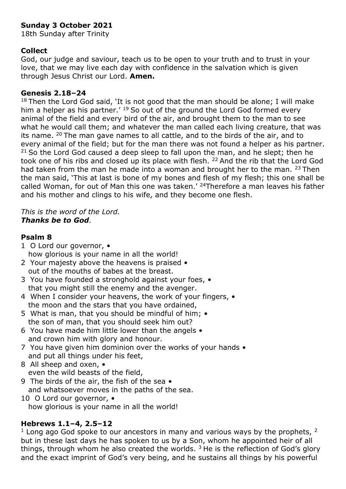### **Sunday 3 October 2021**

18th Sunday after Trinity

#### **Collect**

God, our judge and saviour, teach us to be open to your truth and to trust in your love, that we may live each day with confidence in the salvation which is given through Jesus Christ our Lord. **Amen.**

#### **Genesis 2.18–24**

 $18$  Then the Lord God said, 'It is not good that the man should be alone; I will make him a helper as his partner.'  $^{19}$  So out of the ground the Lord God formed every animal of the field and every bird of the air, and brought them to the man to see what he would call them; and whatever the man called each living creature, that was its name.  $20$  The man gave names to all cattle, and to the birds of the air, and to every animal of the field; but for the man there was not found a helper as his partner.  $21$  So the Lord God caused a deep sleep to fall upon the man, and he slept; then he took one of his ribs and closed up its place with flesh. <sup>22</sup> And the rib that the Lord God had taken from the man he made into a woman and brought her to the man.  $23$  Then the man said, 'This at last is bone of my bones and flesh of my flesh; this one shall be called Woman, for out of Man this one was taken.' <sup>24</sup>Therefore a man leaves his father and his mother and clings to his wife, and they become one flesh.

#### *This is the word of the Lord. Thanks be to God.*

#### **Psalm 8**

- 1 O Lord our governor, how glorious is your name in all the world!
- 2 Your majesty above the heavens is praised out of the mouths of babes at the breast.
- 3 You have founded a stronghold against your foes, that you might still the enemy and the avenger.
- 4 When I consider your heavens, the work of your fingers,  $\bullet$ the moon and the stars that you have ordained,
- 5 What is man, that you should be mindful of him;  $\bullet$ the son of man, that you should seek him out?
- 6 You have made him little lower than the angels and crown him with glory and honour.
- 7 You have given him dominion over the works of your hands and put all things under his feet,
- 8 All sheep and oxen,  $\bullet$ even the wild beasts of the field,
- 9 The birds of the air, the fish of the sea and whatsoever moves in the paths of the sea.
- 10 O Lord our governor, how glorious is your name in all the world!

### **Hebrews 1.1–4, 2.5–12**

 $1$  Long ago God spoke to our ancestors in many and various ways by the prophets,  $2$ but in these last days he has spoken to us by a Son, whom he appointed heir of all things, through whom he also created the worlds.  $3$  He is the reflection of God's glory and the exact imprint of God's very being, and he sustains all things by his powerful